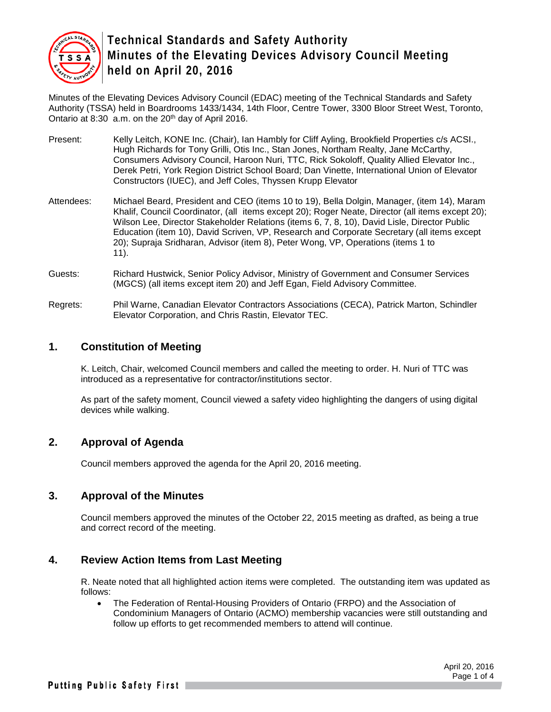

Minutes of the Elevating Devices Advisory Council (EDAC) meeting of the Technical Standards and Safety Authority (TSSA) held in Boardrooms 1433/1434, 14th Floor, Centre Tower, 3300 Bloor Street West, Toronto, Ontario at 8:30 a.m. on the 20th day of April 2016.

- Present: Kelly Leitch, KONE Inc. (Chair), Ian Hambly for Cliff Ayling, Brookfield Properties c/s ACSI., Hugh Richards for Tony Grilli, Otis Inc., Stan Jones, Northam Realty, Jane McCarthy, Consumers Advisory Council, Haroon Nuri, TTC, Rick Sokoloff, Quality Allied Elevator Inc., Derek Petri, York Region District School Board; Dan Vinette, International Union of Elevator Constructors (IUEC), and Jeff Coles, Thyssen Krupp Elevator
- Attendees: Michael Beard, President and CEO (items 10 to 19), Bella Dolgin, Manager, (item 14), Maram Khalif, Council Coordinator, (all items except 20); Roger Neate, Director (all items except 20); Wilson Lee, Director Stakeholder Relations (items 6, 7, 8, 10), David Lisle, Director Public Education (item 10), David Scriven, VP, Research and Corporate Secretary (all items except 20); Supraja Sridharan, Advisor (item 8), Peter Wong, VP, Operations (items 1 to 11).
- Guests: Richard Hustwick, Senior Policy Advisor, Ministry of Government and Consumer Services (MGCS) (all items except item 20) and Jeff Egan, Field Advisory Committee.
- Regrets: Phil Warne, Canadian Elevator Contractors Associations (CECA), Patrick Marton, Schindler Elevator Corporation, and Chris Rastin, Elevator TEC.

# **1. Constitution of Meeting**

K. Leitch, Chair, welcomed Council members and called the meeting to order. H. Nuri of TTC was introduced as a representative for contractor/institutions sector.

As part of the safety moment, Council viewed a safety video highlighting the dangers of using digital devices while walking.

# **2. Approval of Agenda**

Council members approved the agenda for the April 20, 2016 meeting.

### **3. Approval of the Minutes**

Council members approved the minutes of the October 22, 2015 meeting as drafted, as being a true and correct record of the meeting.

### **4. Review Action Items from Last Meeting**

R. Neate noted that all highlighted action items were completed. The outstanding item was updated as follows:

• The Federation of Rental-Housing Providers of Ontario (FRPO) and the Association of Condominium Managers of Ontario (ACMO) membership vacancies were still outstanding and follow up efforts to get recommended members to attend will continue.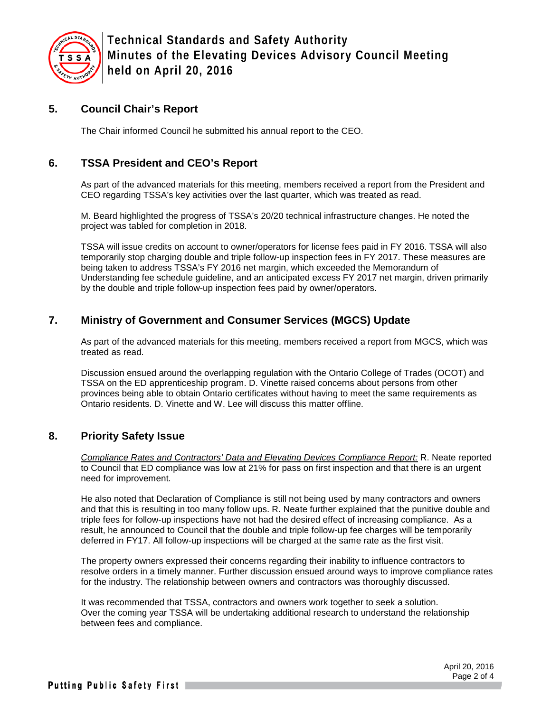

# **5. Council Chair's Report**

The Chair informed Council he submitted his annual report to the CEO.

# **6. TSSA President and CEO's Report**

As part of the advanced materials for this meeting, members received a report from the President and CEO regarding TSSA's key activities over the last quarter, which was treated as read.

M. Beard highlighted the progress of TSSA's 20/20 technical infrastructure changes. He noted the project was tabled for completion in 2018.

TSSA will issue credits on account to owner/operators for license fees paid in FY 2016. TSSA will also temporarily stop charging double and triple follow-up inspection fees in FY 2017. These measures are being taken to address TSSA's FY 2016 net margin, which exceeded the Memorandum of Understanding fee schedule guideline, and an anticipated excess FY 2017 net margin, driven primarily by the double and triple follow-up inspection fees paid by owner/operators.

# **7. Ministry of Government and Consumer Services (MGCS) Update**

As part of the advanced materials for this meeting, members received a report from MGCS, which was treated as read.

Discussion ensued around the overlapping regulation with the Ontario College of Trades (OCOT) and TSSA on the ED apprenticeship program. D. Vinette raised concerns about persons from other provinces being able to obtain Ontario certificates without having to meet the same requirements as Ontario residents. D. Vinette and W. Lee will discuss this matter offline.

### **8. Priority Safety Issue**

*Compliance Rates and Contractors' Data and Elevating Devices Compliance Report:* R. Neate reported to Council that ED compliance was low at 21% for pass on first inspection and that there is an urgent need for improvement.

He also noted that Declaration of Compliance is still not being used by many contractors and owners and that this is resulting in too many follow ups. R. Neate further explained that the punitive double and triple fees for follow-up inspections have not had the desired effect of increasing compliance. As a result, he announced to Council that the double and triple follow-up fee charges will be temporarily deferred in FY17. All follow-up inspections will be charged at the same rate as the first visit.

The property owners expressed their concerns regarding their inability to influence contractors to resolve orders in a timely manner. Further discussion ensued around ways to improve compliance rates for the industry. The relationship between owners and contractors was thoroughly discussed.

It was recommended that TSSA, contractors and owners work together to seek a solution. Over the coming year TSSA will be undertaking additional research to understand the relationship between fees and compliance.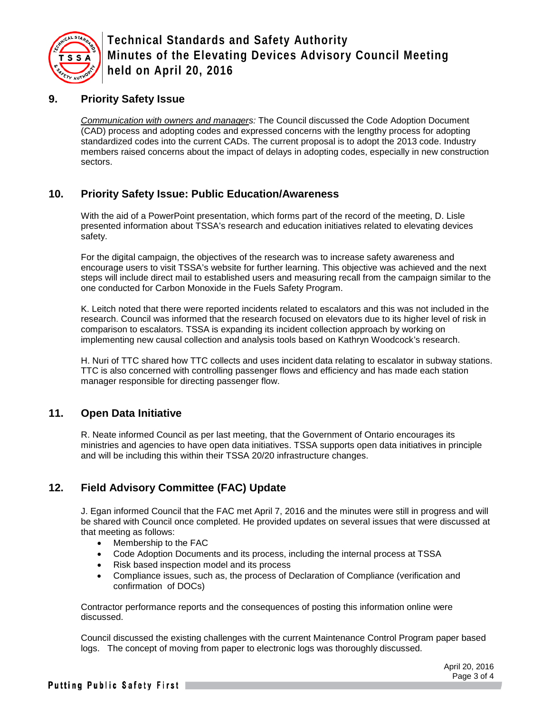

# **9. Priority Safety Issue**

*Communication with owners and managers:* The Council discussed the Code Adoption Document (CAD) process and adopting codes and expressed concerns with the lengthy process for adopting standardized codes into the current CADs. The current proposal is to adopt the 2013 code. Industry members raised concerns about the impact of delays in adopting codes, especially in new construction sectors.

# **10. Priority Safety Issue: Public Education/Awareness**

With the aid of a PowerPoint presentation, which forms part of the record of the meeting, D. Lisle presented information about TSSA's research and education initiatives related to elevating devices safety.

For the digital campaign, the objectives of the research was to increase safety awareness and encourage users to visit TSSA's website for further learning. This objective was achieved and the next steps will include direct mail to established users and measuring recall from the campaign similar to the one conducted for Carbon Monoxide in the Fuels Safety Program.

K. Leitch noted that there were reported incidents related to escalators and this was not included in the research. Council was informed that the research focused on elevators due to its higher level of risk in comparison to escalators. TSSA is expanding its incident collection approach by working on implementing new causal collection and analysis tools based on Kathryn Woodcock's research.

H. Nuri of TTC shared how TTC collects and uses incident data relating to escalator in subway stations. TTC is also concerned with controlling passenger flows and efficiency and has made each station manager responsible for directing passenger flow.

### **11. Open Data Initiative**

R. Neate informed Council as per last meeting, that the Government of Ontario encourages its ministries and agencies to have open data initiatives. TSSA supports open data initiatives in principle and will be including this within their TSSA 20/20 infrastructure changes.

# **12. Field Advisory Committee (FAC) Update**

J. Egan informed Council that the FAC met April 7, 2016 and the minutes were still in progress and will be shared with Council once completed. He provided updates on several issues that were discussed at that meeting as follows:

- Membership to the FAC
- Code Adoption Documents and its process, including the internal process at TSSA
- Risk based inspection model and its process
- Compliance issues, such as, the process of Declaration of Compliance (verification and confirmation of DOCs)

Contractor performance reports and the consequences of posting this information online were discussed.

Council discussed the existing challenges with the current Maintenance Control Program paper based logs. The concept of moving from paper to electronic logs was thoroughly discussed.